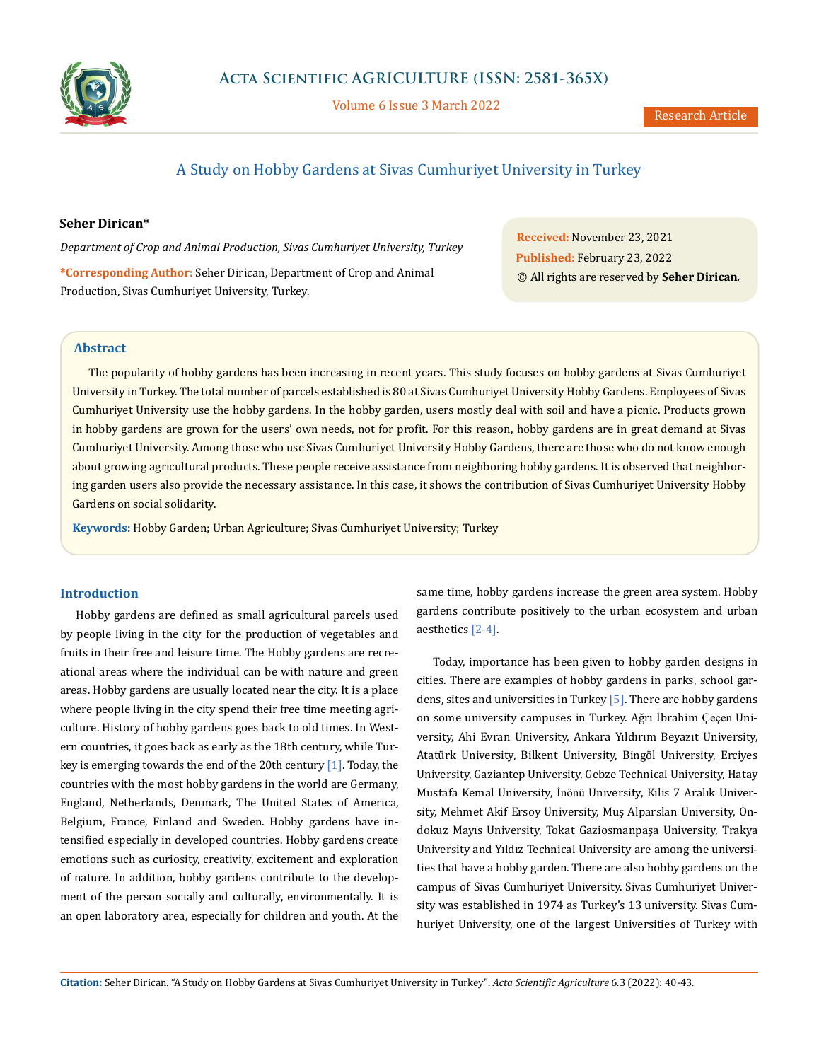

Volume 6 Issue 3 March 2022

# A Study on Hobby Gardens at Sivas Cumhuriyet University in Turkey

# **Seher Dirican\***

*Department of Crop and Animal Production, Sivas Cumhuriyet University, Turkey*

**\*Corresponding Author:** Seher Dirican, Department of Crop and Animal Production, Sivas Cumhuriyet University, Turkey.

**Received:** November 23, 2021 **Published:** February 23, 2022 © All rights are reserved by **Seher Dirican***.*

# **Abstract**

The popularity of hobby gardens has been increasing in recent years. This study focuses on hobby gardens at Sivas Cumhuriyet University in Turkey. The total number of parcels established is 80 at Sivas Cumhuriyet University Hobby Gardens. Employees of Sivas Cumhuriyet University use the hobby gardens. In the hobby garden, users mostly deal with soil and have a picnic. Products grown in hobby gardens are grown for the users' own needs, not for profit. For this reason, hobby gardens are in great demand at Sivas Cumhuriyet University. Among those who use Sivas Cumhuriyet University Hobby Gardens, there are those who do not know enough about growing agricultural products. These people receive assistance from neighboring hobby gardens. It is observed that neighboring garden users also provide the necessary assistance. In this case, it shows the contribution of Sivas Cumhuriyet University Hobby Gardens on social solidarity.

**Keywords:** Hobby Garden; Urban Agriculture; Sivas Cumhuriyet University; Turkey

## **Introduction**

Hobby gardens are defined as small agricultural parcels used by people living in the city for the production of vegetables and fruits in their free and leisure time. The Hobby gardens are recreational areas where the individual can be with nature and green areas. Hobby gardens are usually located near the city. It is a place where people living in the city spend their free time meeting agriculture. History of hobby gardens goes back to old times. In Western countries, it goes back as early as the 18th century, while Turkey is emerging towards the end of the 20th century [1]. Today, the countries with the most hobby gardens in the world are Germany, England, Netherlands, Denmark, The United States of America, Belgium, France, Finland and Sweden. Hobby gardens have intensified especially in developed countries. Hobby gardens create emotions such as curiosity, creativity, excitement and exploration of nature. In addition, hobby gardens contribute to the development of the person socially and culturally, environmentally. It is an open laboratory area, especially for children and youth. At the same time, hobby gardens increase the green area system. Hobby gardens contribute positively to the urban ecosystem and urban aesthetics [2-4].

Today, importance has been given to hobby garden designs in cities. There are examples of hobby gardens in parks, school gardens, sites and universities in Turkey [5]. There are hobby gardens on some university campuses in Turkey. Ağrı İbrahim Çeçen University, Ahi Evran University, Ankara Yıldırım Beyazıt University, Atatürk University, Bilkent University, Bingöl University, Erciyes University, Gaziantep University, Gebze Technical University, Hatay Mustafa Kemal University, İnönü University, Kilis 7 Aralık University, Mehmet Akif Ersoy University, Muş Alparslan University, Ondokuz Mayıs University, Tokat Gaziosmanpaşa University, Trakya University and Yıldız Technical University are among the universities that have a hobby garden. There are also hobby gardens on the campus of Sivas Cumhuriyet University. Sivas Cumhuriyet University was established in 1974 as Turkey's 13 university. Sivas Cumhuriyet University, one of the largest Universities of Turkey with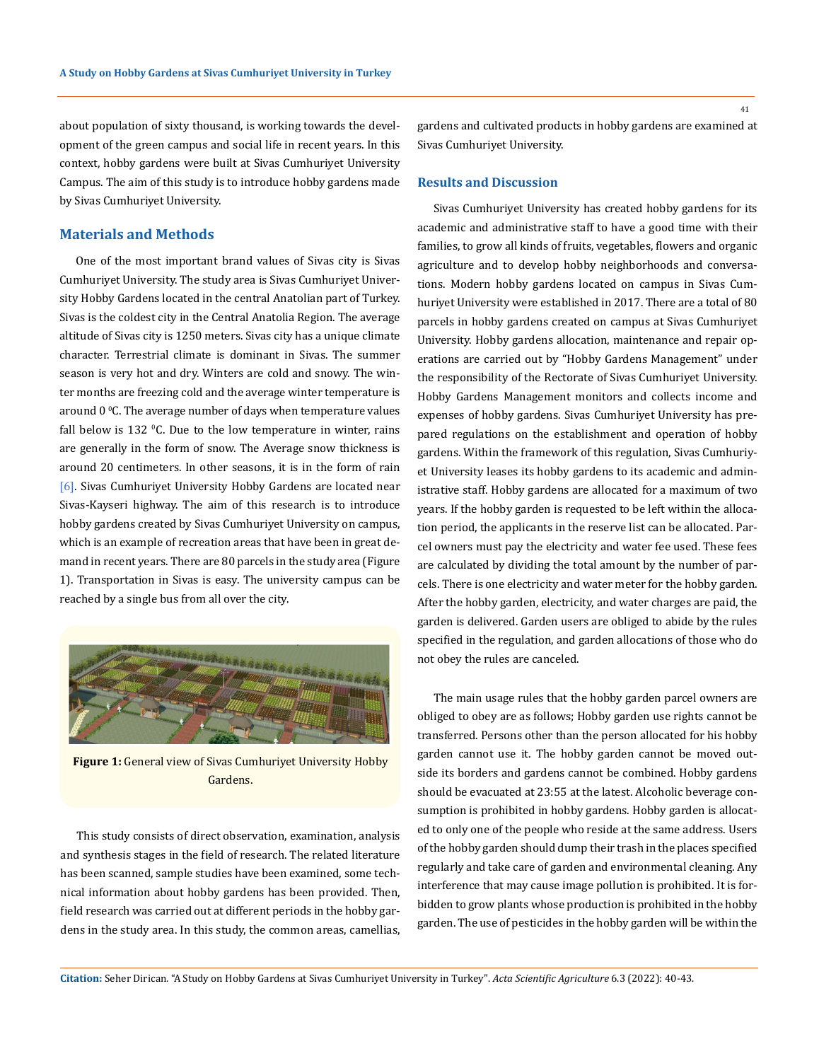about population of sixty thousand, is working towards the development of the green campus and social life in recent years. In this context, hobby gardens were built at Sivas Cumhuriyet University Campus. The aim of this study is to introduce hobby gardens made by Sivas Cumhuriyet University.

# **Materials and Methods**

One of the most important brand values of Sivas city is Sivas Cumhuriyet University. The study area is Sivas Cumhuriyet University Hobby Gardens located in the central Anatolian part of Turkey. Sivas is the coldest city in the Central Anatolia Region. The average altitude of Sivas city is 1250 meters. Sivas city has a unique climate character. Terrestrial climate is dominant in Sivas. The summer season is very hot and dry. Winters are cold and snowy. The winter months are freezing cold and the average winter temperature is around  $0^{\circ}$ C. The average number of days when temperature values fall below is  $132$  °C. Due to the low temperature in winter, rains are generally in the form of snow. The Average snow thickness is around 20 centimeters. In other seasons, it is in the form of rain [6]. Sivas Cumhuriyet University Hobby Gardens are located near Sivas-Kayseri highway. The aim of this research is to introduce hobby gardens created by Sivas Cumhuriyet University on campus, which is an example of recreation areas that have been in great demand in recent years. There are 80 parcels in the study area (Figure 1). Transportation in Sivas is easy. The university campus can be reached by a single bus from all over the city.



**Figure 1:** General view of Sivas Cumhuriyet University Hobby Gardens.

This study consists of direct observation, examination, analysis and synthesis stages in the field of research. The related literature has been scanned, sample studies have been examined, some technical information about hobby gardens has been provided. Then, field research was carried out at different periods in the hobby gardens in the study area. In this study, the common areas, camellias, gardens and cultivated products in hobby gardens are examined at Sivas Cumhuriyet University.

#### **Results and Discussion**

Sivas Cumhuriyet University has created hobby gardens for its academic and administrative staff to have a good time with their families, to grow all kinds of fruits, vegetables, flowers and organic agriculture and to develop hobby neighborhoods and conversations. Modern hobby gardens located on campus in Sivas Cumhuriyet University were established in 2017. There are a total of 80 parcels in hobby gardens created on campus at Sivas Cumhuriyet University. Hobby gardens allocation, maintenance and repair operations are carried out by "Hobby Gardens Management" under the responsibility of the Rectorate of Sivas Cumhuriyet University. Hobby Gardens Management monitors and collects income and expenses of hobby gardens. Sivas Cumhuriyet University has prepared regulations on the establishment and operation of hobby gardens. Within the framework of this regulation, Sivas Cumhuriyet University leases its hobby gardens to its academic and administrative staff. Hobby gardens are allocated for a maximum of two years. If the hobby garden is requested to be left within the allocation period, the applicants in the reserve list can be allocated. Parcel owners must pay the electricity and water fee used. These fees are calculated by dividing the total amount by the number of parcels. There is one electricity and water meter for the hobby garden. After the hobby garden, electricity, and water charges are paid, the garden is delivered. Garden users are obliged to abide by the rules specified in the regulation, and garden allocations of those who do not obey the rules are canceled.

The main usage rules that the hobby garden parcel owners are obliged to obey are as follows; Hobby garden use rights cannot be transferred. Persons other than the person allocated for his hobby garden cannot use it. The hobby garden cannot be moved outside its borders and gardens cannot be combined. Hobby gardens should be evacuated at 23:55 at the latest. Alcoholic beverage consumption is prohibited in hobby gardens. Hobby garden is allocated to only one of the people who reside at the same address. Users of the hobby garden should dump their trash in the places specified regularly and take care of garden and environmental cleaning. Any interference that may cause image pollution is prohibited. It is forbidden to grow plants whose production is prohibited in the hobby garden. The use of pesticides in the hobby garden will be within the

**Citation:** Seher Dirican*.* "A Study on Hobby Gardens at Sivas Cumhuriyet University in Turkey". *Acta Scientific Agriculture* 6.3 (2022): 40-43.

41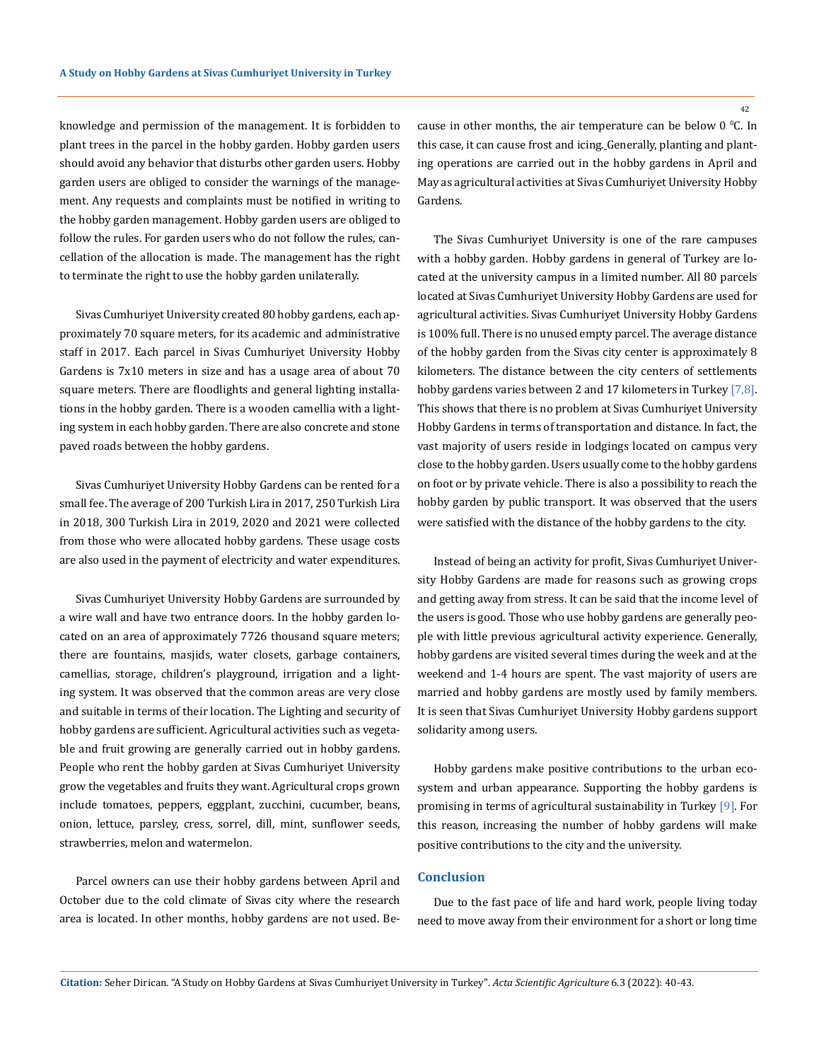knowledge and permission of the management. It is forbidden to plant trees in the parcel in the hobby garden. Hobby garden users should avoid any behavior that disturbs other garden users. Hobby garden users are obliged to consider the warnings of the management. Any requests and complaints must be notified in writing to the hobby garden management. Hobby garden users are obliged to follow the rules. For garden users who do not follow the rules, cancellation of the allocation is made. The management has the right to terminate the right to use the hobby garden unilaterally.

Sivas Cumhuriyet University created 80 hobby gardens, each approximately 70 square meters, for its academic and administrative staff in 2017. Each parcel in Sivas Cumhuriyet University Hobby Gardens is 7x10 meters in size and has a usage area of about 70 square meters. There are floodlights and general lighting installations in the hobby garden. There is a wooden camellia with a lighting system in each hobby garden. There are also concrete and stone paved roads between the hobby gardens.

Sivas Cumhuriyet University Hobby Gardens can be rented for a small fee. The average of 200 Turkish Lira in 2017, 250 Turkish Lira in 2018, 300 Turkish Lira in 2019, 2020 and 2021 were collected from those who were allocated hobby gardens. These usage costs are also used in the payment of electricity and water expenditures.

Sivas Cumhuriyet University Hobby Gardens are surrounded by a wire wall and have two entrance doors. In the hobby garden located on an area of approximately 7726 thousand square meters; there are fountains, masjids, water closets, garbage containers, camellias, storage, children's playground, irrigation and a lighting system. It was observed that the common areas are very close and suitable in terms of their location. The Lighting and security of hobby gardens are sufficient. Agricultural activities such as vegetable and fruit growing are generally carried out in hobby gardens. People who rent the hobby garden at Sivas Cumhuriyet University grow the vegetables and fruits they want. Agricultural crops grown include tomatoes, peppers, eggplant, zucchini, cucumber, beans, onion, lettuce, parsley, cress, sorrel, dill, mint, sunflower seeds, strawberries, melon and watermelon.

Parcel owners can use their hobby gardens between April and October due to the cold climate of Sivas city where the research area is located. In other months, hobby gardens are not used. Be-

cause in other months, the air temperature can be below  $0^{\circ}$ C. In this case, it can cause frost and icing. Generally, planting and planting operations are carried out in the hobby gardens in April and May as agricultural activities at Sivas Cumhuriyet University Hobby Gardens.

The Sivas Cumhuriyet University is one of the rare campuses with a hobby garden. Hobby gardens in general of Turkey are located at the university campus in a limited number. All 80 parcels located at Sivas Cumhuriyet University Hobby Gardens are used for agricultural activities. Sivas Cumhuriyet University Hobby Gardens is 100% full. There is no unused empty parcel. The average distance of the hobby garden from the Sivas city center is approximately 8 kilometers. The distance between the city centers of settlements hobby gardens varies between 2 and 17 kilometers in Turkey [7,8]. This shows that there is no problem at Sivas Cumhuriyet University Hobby Gardens in terms of transportation and distance. In fact, the vast majority of users reside in lodgings located on campus very close to the hobby garden. Users usually come to the hobby gardens on foot or by private vehicle. There is also a possibility to reach the hobby garden by public transport. It was observed that the users were satisfied with the distance of the hobby gardens to the city.

Instead of being an activity for profit, Sivas Cumhuriyet University Hobby Gardens are made for reasons such as growing crops and getting away from stress. It can be said that the income level of the users is good. Those who use hobby gardens are generally people with little previous agricultural activity experience. Generally, hobby gardens are visited several times during the week and at the weekend and 1-4 hours are spent. The vast majority of users are married and hobby gardens are mostly used by family members. It is seen that Sivas Cumhuriyet University Hobby gardens support solidarity among users.

Hobby gardens make positive contributions to the urban ecosystem and urban appearance. Supporting the hobby gardens is promising in terms of agricultural sustainability in Turkey [9]. For this reason, increasing the number of hobby gardens will make positive contributions to the city and the university.

## **Conclusion**

Due to the fast pace of life and hard work, people living today need to move away from their environment for a short or long time

42